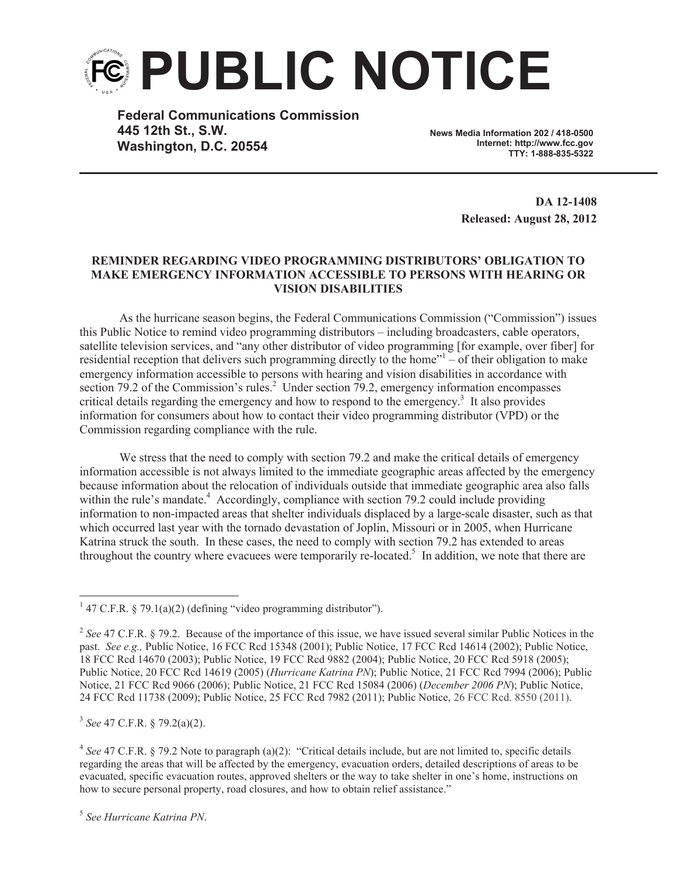

**Federal Communications Commission 445 12th St., S.W. Washington, D.C. 20554**

**News Media Information 202 / 418-0500 Internet: http://www.fcc.gov TTY: 1-888-835-5322**

> **DA 12-1408 Released: August 28, 2012**

## **REMINDER REGARDING VIDEO PROGRAMMING DISTRIBUTORS' OBLIGATION TO MAKE EMERGENCY INFORMATION ACCESSIBLE TO PERSONS WITH HEARING OR VISION DISABILITIES**

As the hurricane season begins, the Federal Communications Commission ("Commission") issues this Public Notice to remind video programming distributors – including broadcasters, cable operators, satellite television services, and "any other distributor of video programming [for example, over fiber] for residential reception that delivers such programming directly to the home"<sup>1</sup> – of their obligation to make emergency information accessible to persons with hearing and vision disabilities in accordance with section 79.2 of the Commission's rules.<sup>2</sup> Under section 79.2, emergency information encompasses critical details regarding the emergency and how to respond to the emergency.<sup>3</sup> It also provides information for consumers about how to contact their video programming distributor (VPD) or the Commission regarding compliance with the rule.

We stress that the need to comply with section 79.2 and make the critical details of emergency information accessible is not always limited to the immediate geographic areas affected by the emergency because information about the relocation of individuals outside that immediate geographic area also falls within the rule's mandate.<sup>4</sup> Accordingly, compliance with section 79.2 could include providing information to non-impacted areas that shelter individuals displaced by a large-scale disaster, such as that which occurred last year with the tornado devastation of Joplin, Missouri or in 2005, when Hurricane Katrina struck the south. In these cases, the need to comply with section 79.2 has extended to areas throughout the country where evacuees were temporarily re-located.<sup>5</sup> In addition, we note that there are

3 *See* 47 C.F.R. § 79.2(a)(2).

<sup>&</sup>lt;sup>1</sup> 47 C.F.R. § 79.1(a)(2) (defining "video programming distributor").

<sup>&</sup>lt;sup>2</sup> See 47 C.F.R. § 79.2. Because of the importance of this issue, we have issued several similar Public Notices in the past. *See e.g.,* Public Notice, 16 FCC Rcd 15348 (2001); Public Notice, 17 FCC Rcd 14614 (2002); Public Notice, 18 FCC Rcd 14670 (2003); Public Notice, 19 FCC Rcd 9882 (2004); Public Notice, 20 FCC Rcd 5918 (2005); Public Notice, 20 FCC Rcd 14619 (2005) (*Hurricane Katrina PN*); Public Notice, 21 FCC Rcd 7994 (2006); Public Notice, 21 FCC Rcd 9066 (2006); Public Notice, 21 FCC Rcd 15084 (2006) (*December 2006 PN*); Public Notice, 24 FCC Rcd 11738 (2009); Public Notice, 25 FCC Rcd 7982 (2011); Public Notice, 26 FCC Rcd. 8550 (2011).

<sup>&</sup>lt;sup>4</sup> See 47 C.F.R. § 79.2 Note to paragraph (a)(2): "Critical details include, but are not limited to, specific details regarding the areas that will be affected by the emergency, evacuation orders, detailed descriptions of areas to be evacuated, specific evacuation routes, approved shelters or the way to take shelter in one's home, instructions on how to secure personal property, road closures, and how to obtain relief assistance."

<sup>5</sup> *See Hurricane Katrina PN*.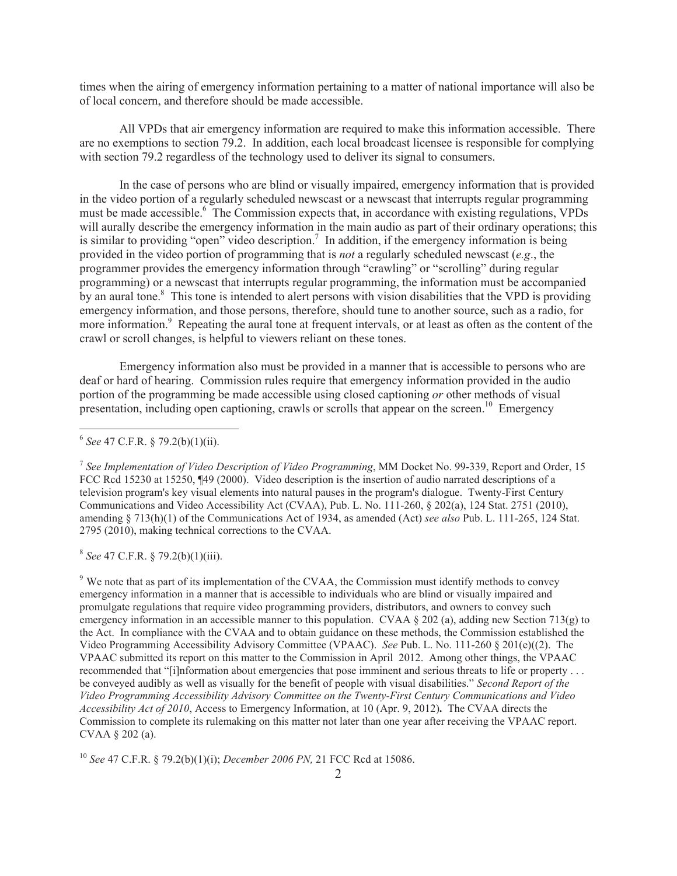times when the airing of emergency information pertaining to a matter of national importance will also be of local concern, and therefore should be made accessible.

All VPDs that air emergency information are required to make this information accessible. There are no exemptions to section 79.2. In addition, each local broadcast licensee is responsible for complying with section 79.2 regardless of the technology used to deliver its signal to consumers.

In the case of persons who are blind or visually impaired, emergency information that is provided in the video portion of a regularly scheduled newscast or a newscast that interrupts regular programming must be made accessible.<sup>6</sup> The Commission expects that, in accordance with existing regulations, VPDs will aurally describe the emergency information in the main audio as part of their ordinary operations; this is similar to providing "open" video description.<sup>7</sup> In addition, if the emergency information is being provided in the video portion of programming that is *not* a regularly scheduled newscast (*e.g*., the programmer provides the emergency information through "crawling" or "scrolling" during regular programming) or a newscast that interrupts regular programming, the information must be accompanied by an aural tone.<sup>8</sup> This tone is intended to alert persons with vision disabilities that the VPD is providing emergency information, and those persons, therefore, should tune to another source, such as a radio, for more information.<sup>9</sup> Repeating the aural tone at frequent intervals, or at least as often as the content of the crawl or scroll changes, is helpful to viewers reliant on these tones.

Emergency information also must be provided in a manner that is accessible to persons who are deaf or hard of hearing. Commission rules require that emergency information provided in the audio portion of the programming be made accessible using closed captioning *or* other methods of visual presentation, including open captioning, crawls or scrolls that appear on the screen.<sup>10</sup> Emergency

8 *See* 47 C.F.R. § 79.2(b)(1)(iii).

<sup>9</sup> We note that as part of its implementation of the CVAA, the Commission must identify methods to convey emergency information in a manner that is accessible to individuals who are blind or visually impaired and promulgate regulations that require video programming providers, distributors, and owners to convey such emergency information in an accessible manner to this population. CVAA § 202 (a), adding new Section 713(g) to the Act. In compliance with the CVAA and to obtain guidance on these methods, the Commission established the Video Programming Accessibility Advisory Committee (VPAAC). *See* Pub. L. No. 111-260 § 201(e)((2). The VPAAC submitted its report on this matter to the Commission in April 2012. Among other things, the VPAAC recommended that "[i]nformation about emergencies that pose imminent and serious threats to life or property . . . be conveyed audibly as well as visually for the benefit of people with visual disabilities." *Second Report of the Video Programming Accessibility Advisory Committee on the Twenty-First Century Communications and Video Accessibility Act of 2010*, Access to Emergency Information, at 10 (Apr. 9, 2012)**.** The CVAA directs the Commission to complete its rulemaking on this matter not later than one year after receiving the VPAAC report. CVAA § 202 (a).

<sup>10</sup> *See* 47 C.F.R. § 79.2(b)(1)(i); *December 2006 PN,* 21 FCC Rcd at 15086.

<sup>6</sup> *See* 47 C.F.R. § 79.2(b)(1)(ii).

<sup>7</sup> *See Implementation of Video Description of Video Programming*, MM Docket No. 99-339, Report and Order, 15 FCC Rcd 15230 at 15250, ¶49 (2000). Video description is the insertion of audio narrated descriptions of a television program's key visual elements into natural pauses in the program's dialogue. Twenty-First Century Communications and Video Accessibility Act (CVAA), Pub. L. No. 111-260, § 202(a), 124 Stat. 2751 (2010), amending § 713(h)(1) of the Communications Act of 1934, as amended (Act) *see also* Pub. L. 111-265, 124 Stat. 2795 (2010), making technical corrections to the CVAA.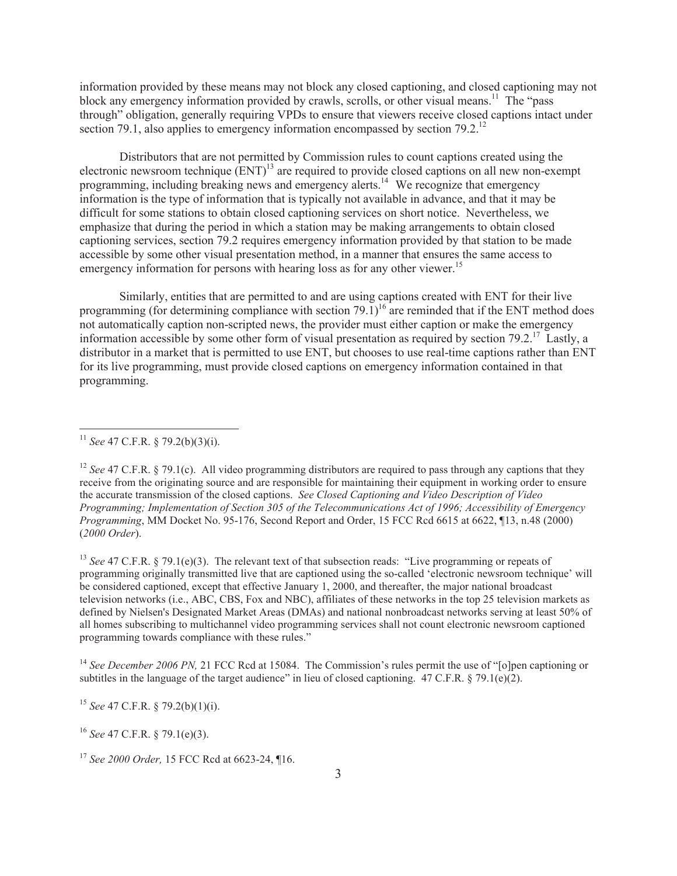information provided by these means may not block any closed captioning, and closed captioning may not block any emergency information provided by crawls, scrolls, or other visual means.<sup>11</sup> The "pass" through" obligation, generally requiring VPDs to ensure that viewers receive closed captions intact under section 79.1, also applies to emergency information encompassed by section  $79.2<sup>12</sup>$ 

Distributors that are not permitted by Commission rules to count captions created using the electronic newsroom technique  $(ENT)^{13}$  are required to provide closed captions on all new non-exempt programming, including breaking news and emergency alerts.<sup>14</sup> We recognize that emergency information is the type of information that is typically not available in advance, and that it may be difficult for some stations to obtain closed captioning services on short notice. Nevertheless, we emphasize that during the period in which a station may be making arrangements to obtain closed captioning services, section 79.2 requires emergency information provided by that station to be made accessible by some other visual presentation method, in a manner that ensures the same access to emergency information for persons with hearing loss as for any other viewer.<sup>15</sup>

Similarly, entities that are permitted to and are using captions created with ENT for their live programming (for determining compliance with section 79.1)<sup>16</sup> are reminded that if the ENT method does not automatically caption non-scripted news, the provider must either caption or make the emergency information accessible by some other form of visual presentation as required by section 79.2.<sup>17</sup> Lastly, a distributor in a market that is permitted to use ENT, but chooses to use real-time captions rather than ENT for its live programming, must provide closed captions on emergency information contained in that programming.

<sup>13</sup> *See* 47 C.F.R. § 79.1(e)(3). The relevant text of that subsection reads: "Live programming or repeats of programming originally transmitted live that are captioned using the so-called 'electronic newsroom technique' will be considered captioned, except that effective January 1, 2000, and thereafter, the major national broadcast television networks (i.e., ABC, CBS, Fox and NBC), affiliates of these networks in the top 25 television markets as defined by Nielsen's Designated Market Areas (DMAs) and national nonbroadcast networks serving at least 50% of all homes subscribing to multichannel video programming services shall not count electronic newsroom captioned programming towards compliance with these rules."

<sup>14</sup> *See December 2006 PN,* 21 FCC Rcd at 15084. The Commission's rules permit the use of "[o]pen captioning or subtitles in the language of the target audience" in lieu of closed captioning.  $47 \text{ C.F.R.}$  § 79.1(e)(2).

<sup>15</sup> *See* 47 C.F.R. § 79.2(b)(1)(i).

<sup>16</sup> *See* 47 C.F.R. § 79.1(e)(3).

<sup>11</sup> *See* 47 C.F.R. § 79.2(b)(3)(i).

<sup>&</sup>lt;sup>12</sup> *See* 47 C.F.R. § 79.1(c). All video programming distributors are required to pass through any captions that they receive from the originating source and are responsible for maintaining their equipment in working order to ensure the accurate transmission of the closed captions. *See Closed Captioning and Video Description of Video Programming; Implementation of Section 305 of the Telecommunications Act of 1996; Accessibility of Emergency Programming*, MM Docket No. 95-176, Second Report and Order, 15 FCC Rcd 6615 at 6622, ¶13, n.48 (2000) (*2000 Order*).

<sup>17</sup> *See 2000 Order,* 15 FCC Rcd at 6623-24, ¶16.